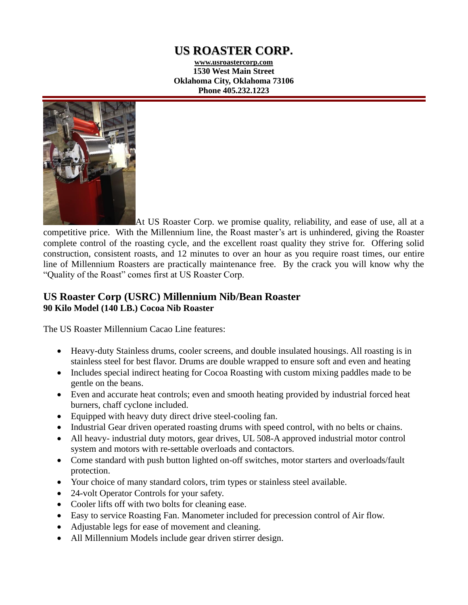# **US ROASTER CORP.**

**www.usroastercorp.com 1530 West Main Street Oklahoma City, Oklahoma 73106 Phone 405.232.1223**



At US Roaster Corp. we promise quality, reliability, and ease of use, all at a competitive price. With the Millennium line, the Roast master's art is unhindered, giving the Roaster complete control of the roasting cycle, and the excellent roast quality they strive for. Offering solid construction, consistent roasts, and 12 minutes to over an hour as you require roast times, our entire line of Millennium Roasters are practically maintenance free. By the crack you will know why the "Quality of the Roast" comes first at US Roaster Corp.

## **US Roaster Corp (USRC) Millennium Nib/Bean Roaster 90 Kilo Model (140 LB.) Cocoa Nib Roaster**

The US Roaster Millennium Cacao Line features:

- Heavy-duty Stainless drums, cooler screens, and double insulated housings. All roasting is in stainless steel for best flavor. Drums are double wrapped to ensure soft and even and heating
- Includes special indirect heating for Cocoa Roasting with custom mixing paddles made to be gentle on the beans.
- Even and accurate heat controls; even and smooth heating provided by industrial forced heat burners, chaff cyclone included.
- Equipped with heavy duty direct drive steel-cooling fan.
- Industrial Gear driven operated roasting drums with speed control, with no belts or chains.
- All heavy- industrial duty motors, gear drives, UL 508-A approved industrial motor control system and motors with re-settable overloads and contactors.
- Come standard with push button lighted on-off switches, motor starters and overloads/fault protection.
- Your choice of many standard colors, trim types or stainless steel available.
- 24-volt Operator Controls for your safety.
- Cooler lifts off with two bolts for cleaning ease.
- Easy to service Roasting Fan. Manometer included for precession control of Air flow.
- Adjustable legs for ease of movement and cleaning.
- All Millennium Models include gear driven stirrer design.